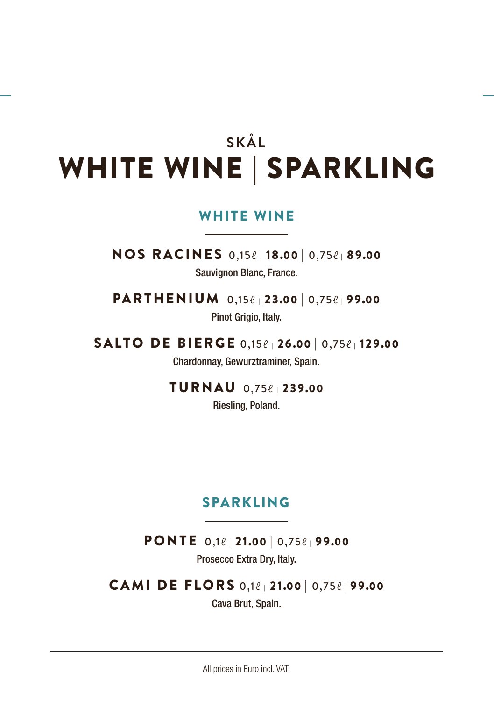# **SKÅL** WHITE WINE | SPARKLING

#### WHITE WINE

NOS RACINES 0,15ℓ | 18.00 | 0,75ℓ | 89.<sup>00</sup> Sauvignon Blanc, France.

PARTHENIUM 0,15ℓ | 23.00 | 0,75ℓ | 99.<sup>00</sup> Pinot Grigio, Italy.

SALTO DE BIERGE 0,15ℓ | 26.00 | 0,75ℓ | 129.<sup>00</sup> Chardonnay, Gewurztraminer, Spain.

TURNAU 0,75ℓ | 239.<sup>00</sup>

Riesling, Poland.

#### SPARKLING

PONTE 0,1ℓ | 21.00 | 0,75ℓ | 99.<sup>00</sup>

Prosecco Extra Dry, Italy.

CAMI DE FLORS 0,1ℓ | 21.00 | 0,75ℓ | 99.<sup>00</sup>

Cava Brut, Spain.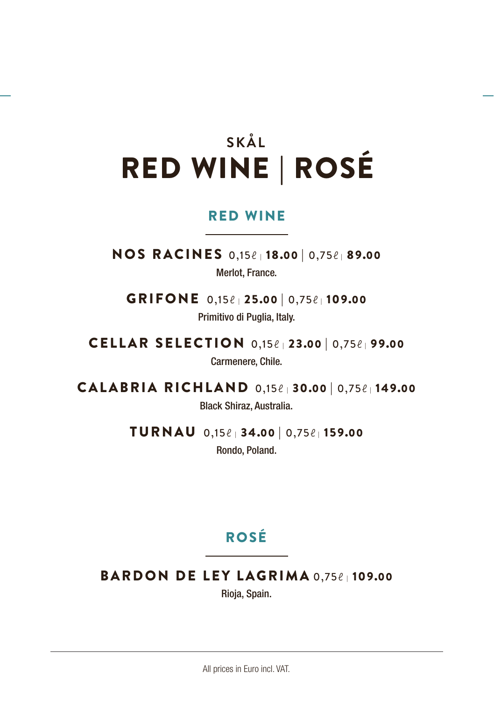# **SKÅL** RED WINE | ROSÉ

#### RED WINE

NOS RACINES 0,15ℓ | 18.00 | 0,75ℓ | 89.<sup>00</sup> Merlot, France.

GRIFONE 0,15ℓ | 25.00 | 0,75ℓ | 109.<sup>00</sup> Primitivo di Puglia, Italy.

CELLAR SELECTION 0,15ℓ | 23.00 | 0,75ℓ | 99.<sup>00</sup> Carmenere, Chile.

CALABRIA RICHLAND 0,15ℓ | 30.00 | 0,75ℓ | 149.<sup>00</sup> Black Shiraz, Australia.

> TURNAU 0,15ℓ | 34.00 | 0,75ℓ | 159.<sup>00</sup> Rondo, Poland.

## ROSÉ

BARDON DE LEY LAGRIMA 0,75ℓ | 109.<sup>00</sup>

Rioja, Spain.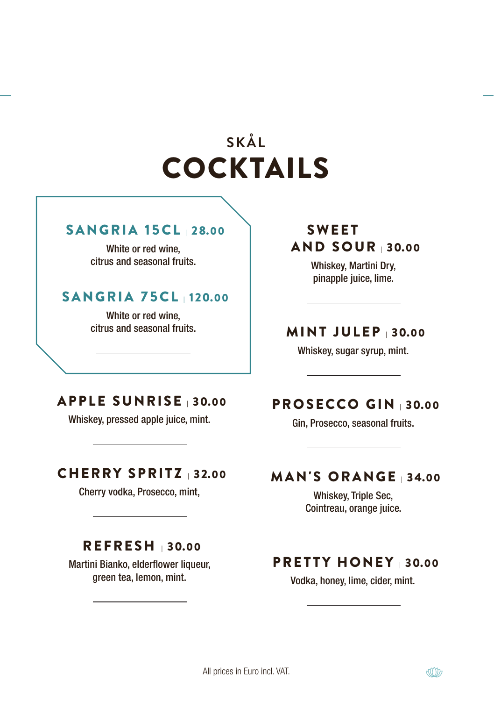# **SKÅL** COCKTAILS

#### SANGRIA 15CL | 28.00

White or red wine, citrus and seasonal fruits.

## SANGRIA 75CL |120.00

White or red wine, citrus and seasonal fruits.

## SWEET AND SOUR | 30.00

Whiskey, Martini Dry, pinapple juice, lime.

### MINT JULEP <sup>|</sup> 30.00

Whiskey, sugar syrup, mint.

## APPLE SUNRISE |30.00

Whiskey, pressed apple juice, mint.

### CHERRY SPRITZ | 32.00

Cherry vodka, Prosecco, mint,

#### REFRESH | 30.00

Martini Bianko, elderflower liqueur, green tea, lemon, mint.

## PROSECCO GIN <sup>|</sup> 30.00

Gin, Prosecco, seasonal fruits.

## MAN'S ORANGE <sup>|</sup> 34.00

Whiskey, Triple Sec, Cointreau, orange juice.

### PRETTY HONEY <sup>|</sup> 30.00

Vodka, honey, lime, cider, mint.